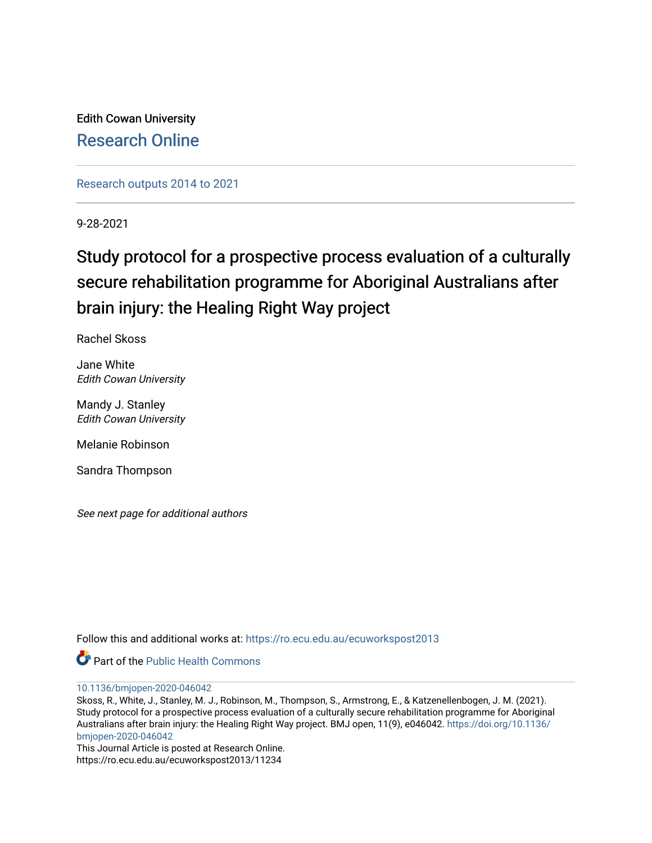Edith Cowan University [Research Online](https://ro.ecu.edu.au/) 

[Research outputs 2014 to 2021](https://ro.ecu.edu.au/ecuworkspost2013) 

9-28-2021

# Study protocol for a prospective process evaluation of a culturally secure rehabilitation programme for Aboriginal Australians after brain injury: the Healing Right Way project

Rachel Skoss

Jane White Edith Cowan University

Mandy J. Stanley Edith Cowan University

Melanie Robinson

Sandra Thompson

See next page for additional authors

Follow this and additional works at: [https://ro.ecu.edu.au/ecuworkspost2013](https://ro.ecu.edu.au/ecuworkspost2013?utm_source=ro.ecu.edu.au%2Fecuworkspost2013%2F11234&utm_medium=PDF&utm_campaign=PDFCoverPages) 



[10.1136/bmjopen-2020-046042](http://dx.doi.org/10.1136/bmjopen-2020-046042) 

Skoss, R., White, J., Stanley, M. J., Robinson, M., Thompson, S., Armstrong, E., & Katzenellenbogen, J. M. (2021). Study protocol for a prospective process evaluation of a culturally secure rehabilitation programme for Aboriginal Australians after brain injury: the Healing Right Way project. BMJ open, 11(9), e046042. [https://doi.org/10.1136/](https://doi.org/10.1136/bmjopen-2020-046042) [bmjopen-2020-046042](https://doi.org/10.1136/bmjopen-2020-046042) 

This Journal Article is posted at Research Online. https://ro.ecu.edu.au/ecuworkspost2013/11234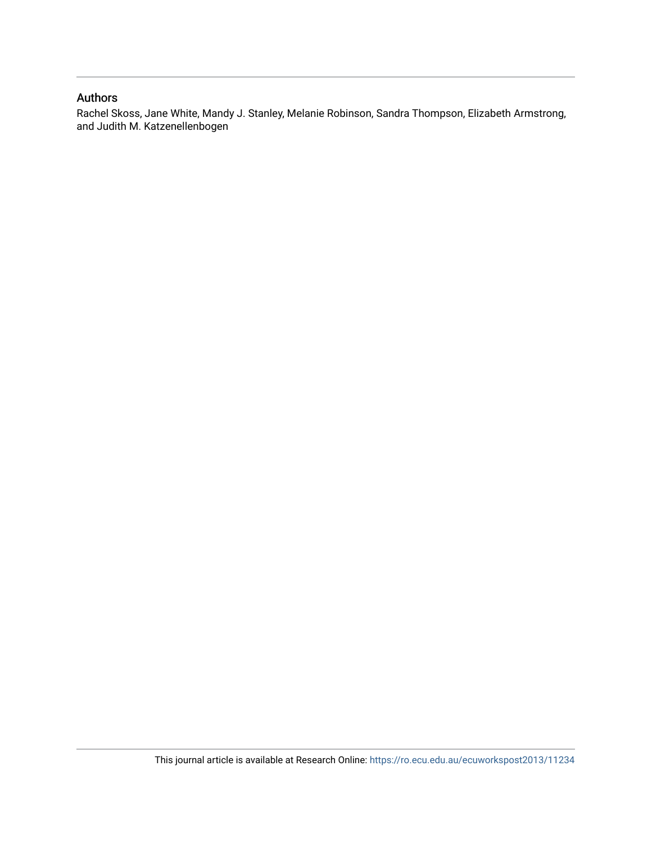# Authors

Rachel Skoss, Jane White, Mandy J. Stanley, Melanie Robinson, Sandra Thompson, Elizabeth Armstrong, and Judith M. Katzenellenbogen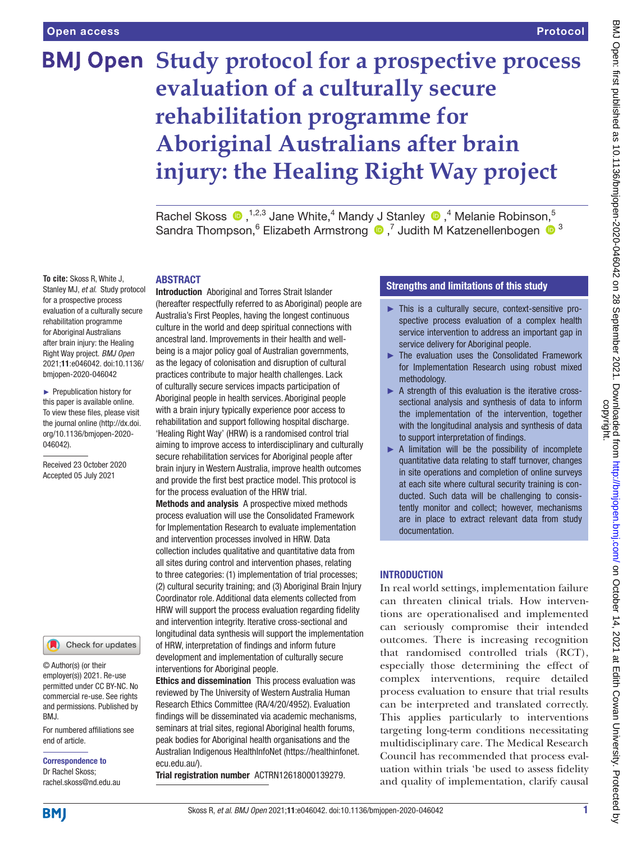# **BMJ Open Study protocol for a prospective process evaluation of a culturally secure rehabilitation programme for Aboriginal Australians after brain injury: the Healing Right Way project**

Rachel Skoss  $\bigcirc$ , <sup>1,2,3</sup> Jane White,<sup>4</sup> Mandy J Stanley  $\bigcirc$ ,<sup>4</sup> Melanie Robinson,<sup>5</sup> SandraThompson, <sup>6</sup> Elizabeth Armstrong <sup>1</sup>, Judith M Katzenellenbogen <sup>1</sup>, <sup>3</sup>

#### ABSTRACT

**To cite:** Skoss R, White J, Stanley MJ, *et al*. Study protocol for a prospective process evaluation of a culturally secure rehabilitation programme for Aboriginal Australians after brain injury: the Healing Right Way project. *BMJ Open* 2021;11:e046042. doi:10.1136/ bmjopen-2020-046042

► Prepublication history for this paper is available online. To view these files, please visit the journal online (http://dx.doi. org/10.1136/bmjopen-2020- 046042).

Received 23 October 2020 Accepted 05 July 2021

#### Check for updates

© Author(s) (or their employer(s)) 2021. Re-use permitted under CC BY-NC. No commercial re-use. See rights and permissions. Published by BMJ.

For numbered affiliations see end of article.

Correspondence to Dr Rachel Skoss; rachel.skoss@nd.edu.au Introduction Aboriginal and Torres Strait Islander (hereafter respectfully referred to as Aboriginal) people are Australia's First Peoples, having the longest continuous culture in the world and deep spiritual connections with ancestral land. Improvements in their health and wellbeing is a major policy goal of Australian governments, as the legacy of colonisation and disruption of cultural practices contribute to major health challenges. Lack of culturally secure services impacts participation of Aboriginal people in health services. Aboriginal people with a brain injury typically experience poor access to rehabilitation and support following hospital discharge. 'Healing Right Way' (HRW) is a randomised control trial aiming to improve access to interdisciplinary and culturally secure rehabilitation services for Aboriginal people after brain injury in Western Australia, improve health outcomes and provide the first best practice model. This protocol is for the process evaluation of the HRW trial.

Methods and analysis A prospective mixed methods process evaluation will use the Consolidated Framework for Implementation Research to evaluate implementation and intervention processes involved in HRW. Data collection includes qualitative and quantitative data from all sites during control and intervention phases, relating to three categories: (1) implementation of trial processes; (2) cultural security training; and (3) Aboriginal Brain Injury Coordinator role. Additional data elements collected from HRW will support the process evaluation regarding fidelity and intervention integrity. Iterative cross-sectional and longitudinal data synthesis will support the implementation of HRW, interpretation of findings and inform future development and implementation of culturally secure interventions for Aboriginal people.

Ethics and dissemination This process evaluation was reviewed by The University of Western Australia Human Research Ethics Committee (RA/4/20/4952). Evaluation findings will be disseminated via academic mechanisms, seminars at trial sites, regional Aboriginal health forums, peak bodies for Aboriginal health organisations and the Australian Indigenous HealthInfoNet ([https://healthinfonet.](https://healthinfonet.ecu.edu.au/) [ecu.edu.au/](https://healthinfonet.ecu.edu.au/)).

Trial registration number ACTRN12618000139279.

# Strengths and limitations of this study

- ► This is a culturally secure, context-sensitive prospective process evaluation of a complex health service intervention to address an important gap in service delivery for Aboriginal people.
- ► The evaluation uses the Consolidated Framework for Implementation Research using robust mixed methodology.
- $\triangleright$  A strength of this evaluation is the iterative crosssectional analysis and synthesis of data to inform the implementation of the intervention, together with the longitudinal analysis and synthesis of data to support interpretation of findings.
- ► A limitation will be the possibility of incomplete quantitative data relating to staff turnover, changes in site operations and completion of online surveys at each site where cultural security training is conducted. Such data will be challenging to consistently monitor and collect; however, mechanisms are in place to extract relevant data from study documentation.

# **INTRODUCTION**

In real world settings, implementation failure can threaten clinical trials. How interventions are operationalised and implemented can seriously compromise their intended outcomes. There is increasing recognition that randomised controlled trials (RCT), especially those determining the effect of complex interventions, require detailed process evaluation to ensure that trial results can be interpreted and translated correctly. This applies particularly to interventions targeting long-term conditions necessitating multidisciplinary care. The Medical Research Council has recommended that process evaluation within trials 'be used to assess fidelity and quality of implementation, clarify causal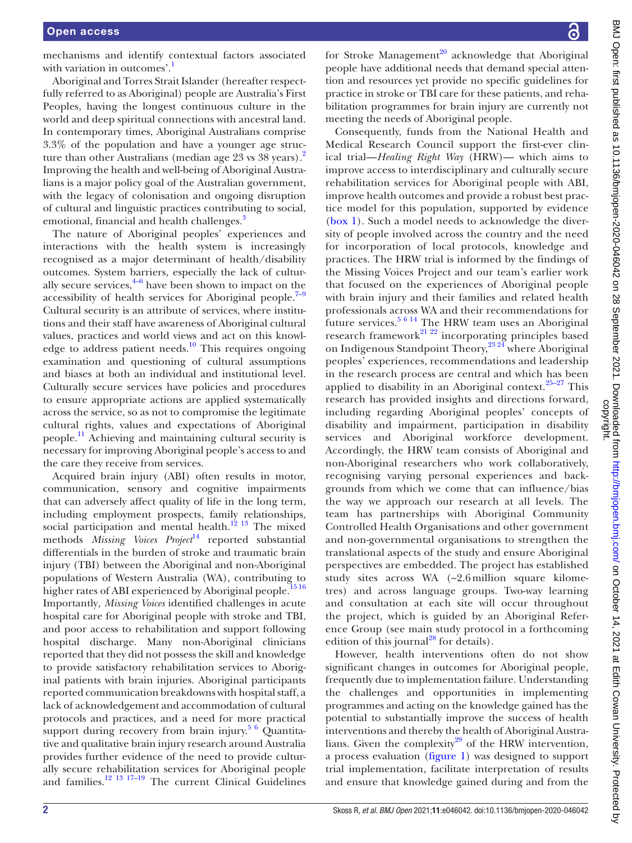mechanisms and identify contextual factors associated with variation in outcomes'.

Aboriginal and Torres Strait Islander (hereafter respectfully referred to as Aboriginal) people are Australia's First Peoples, having the longest continuous culture in the world and deep spiritual connections with ancestral land. In contemporary times, Aboriginal Australians comprise 3.3% of the population and have a younger age struc-ture than other Australians (median age [2](#page-11-1)3 vs 38 years).<sup>2</sup> Improving the health and well-being of Aboriginal Australians is a major policy goal of the Australian government, with the legacy of colonisation and ongoing disruption of cultural and linguistic practices contributing to social, emotional, financial and health challenges.<sup>3</sup>

The nature of Aboriginal peoples' experiences and interactions with the health system is increasingly recognised as a major determinant of health/disability outcomes. System barriers, especially the lack of culturally secure services, $4\frac{4}{6}$  have been shown to impact on the accessibility of health services for Aboriginal people.<sup>7–9</sup> Cultural security is an attribute of services, where institutions and their staff have awareness of Aboriginal cultural values, practices and world views and act on this knowledge to address patient needs.<sup>10</sup> This requires ongoing examination and questioning of cultural assumptions and biases at both an individual and institutional level. Culturally secure services have policies and procedures to ensure appropriate actions are applied systematically across the service, so as not to compromise the legitimate cultural rights, values and expectations of Aboriginal people[.11](#page-11-6) Achieving and maintaining cultural security is necessary for improving Aboriginal people's access to and the care they receive from services.

Acquired brain injury (ABI) often results in motor, communication, sensory and cognitive impairments that can adversely affect quality of life in the long term, including employment prospects, family relationships, social participation and mental health.<sup>12 13</sup> The mixed methods *Missing Voices Project*<sup>[14](#page-12-1)</sup> reported substantial differentials in the burden of stroke and traumatic brain injury (TBI) between the Aboriginal and non-Aboriginal populations of Western Australia (WA), contributing to higher rates of ABI experienced by Aboriginal people.<sup>1516</sup> Importantly*, Missing Voices* identified challenges in acute hospital care for Aboriginal people with stroke and TBI, and poor access to rehabilitation and support following hospital discharge. Many non-Aboriginal clinicians reported that they did not possess the skill and knowledge to provide satisfactory rehabilitation services to Aboriginal patients with brain injuries. Aboriginal participants reported communication breakdowns with hospital staff, a lack of acknowledgement and accommodation of cultural protocols and practices, and a need for more practical support during recovery from brain injury. $5\,6$  Quantitative and qualitative brain injury research around Australia provides further evidence of the need to provide culturally secure rehabilitation services for Aboriginal people and families.<sup>12</sup> <sup>13</sup> <sup>17–19</sup> The current Clinical Guidelines

for Stroke Management<sup>20</sup> acknowledge that Aboriginal people have additional needs that demand special attention and resources yet provide no specific guidelines for practice in stroke or TBI care for these patients, and rehabilitation programmes for brain injury are currently not meeting the needs of Aboriginal people.

Consequently, funds from the National Health and Medical Research Council support the first-ever clinical trial—*Healing Right Way* (HRW)— which aims to improve access to interdisciplinary and culturally secure rehabilitation services for Aboriginal people with ABI, improve health outcomes and provide a robust best practice model for this population, supported by evidence [\(box](#page-4-0) 1). Such a model needs to acknowledge the diversity of people involved across the country and the need for incorporation of local protocols, knowledge and practices. The HRW trial is informed by the findings of the Missing Voices Project and our team's earlier work that focused on the experiences of Aboriginal people with brain injury and their families and related health professionals across WA and their recommendations for future services.<sup>[5 6 14](#page-11-7)</sup> The HRW team uses an Aboriginal research framework<sup>21</sup> <sup>22</sup> incorporating principles based on Indigenous Standpoint Theory,<sup>23,24</sup> where Aboriginal peoples' experiences, recommendations and leadership in the research process are central and which has been applied to disability in an Aboriginal context. $25-27$  This research has provided insights and directions forward, including regarding Aboriginal peoples' concepts of disability and impairment, participation in disability services and Aboriginal workforce development. Accordingly, the HRW team consists of Aboriginal and non-Aboriginal researchers who work collaboratively, recognising varying personal experiences and backgrounds from which we come that can influence/bias the way we approach our research at all levels. The team has partnerships with Aboriginal Community Controlled Health Organisations and other government and non-governmental organisations to strengthen the translational aspects of the study and ensure Aboriginal perspectives are embedded. The project has established study sites across WA (~2.6 million square kilometres) and across language groups. Two-way learning and consultation at each site will occur throughout the project, which is guided by an Aboriginal Reference Group (see main study protocol in a forthcoming edition of this journal<sup>[28](#page-12-7)</sup> for details).

However, health interventions often do not show significant changes in outcomes for Aboriginal people, frequently due to implementation failure. Understanding the challenges and opportunities in implementing programmes and acting on the knowledge gained has the potential to substantially improve the success of health interventions and thereby the health of Aboriginal Australians. Given the complexity $29$  of the HRW intervention, a process evaluation [\(figure](#page-5-0) 1) was designed to support trial implementation, facilitate interpretation of results and ensure that knowledge gained during and from the

႕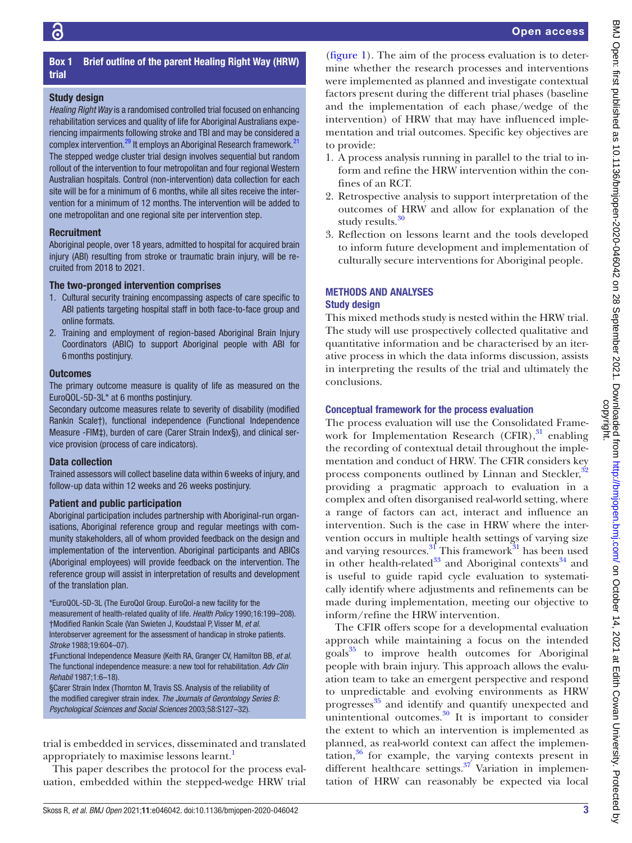# Box 1 Brief outline of the parent Healing Right Way (HRW) trial

# <span id="page-4-0"></span>Study design

*Healing Right Way* is a randomised controlled trial focused on enhancing rehabilitation services and quality of life for Aboriginal Australians experiencing impairments following stroke and TBI and may be considered a complex intervention.<sup>29</sup> It employs an Aboriginal Research framework.<sup>[21](#page-12-4)</sup> The stepped wedge cluster trial design involves sequential but random rollout of the intervention to four metropolitan and four regional Western Australian hospitals. Control (non-intervention) data collection for each site will be for a minimum of 6 months, while all sites receive the intervention for a minimum of 12 months. The intervention will be added to one metropolitan and one regional site per intervention step.

# **Recruitment**

Aboriginal people, over 18 years, admitted to hospital for acquired brain injury (ABI) resulting from stroke or traumatic brain injury, will be recruited from 2018 to 2021.

# The two-pronged intervention comprises

- 1. Cultural security training encompassing aspects of care specific to ABI patients targeting hospital staff in both face-to-face group and online formats.
- 2. Training and employment of region-based Aboriginal Brain Injury Coordinators (ABIC) to support Aboriginal people with ABI for 6months postinjury.

# **Outcomes**

The primary outcome measure is quality of life as measured on the EuroQOL-5D-3L\* at 6 months postinjury.

Secondary outcome measures relate to severity of disability (modified Rankin Scale†), functional independence (Functional Independence Measure -FIM‡), burden of care (Carer Strain Index§), and clinical service provision (process of care indicators).

# Data collection

Trained assessors will collect baseline data within 6weeks of injury, and follow-up data within 12 weeks and 26 weeks postinjury.

# Patient and public participation

Aboriginal participation includes partnership with Aboriginal-run organisations, Aboriginal reference group and regular meetings with community stakeholders, all of whom provided feedback on the design and implementation of the intervention. Aboriginal participants and ABICs (Aboriginal employees) will provide feedback on the intervention. The reference group will assist in interpretation of results and development of the translation plan.

\*EuroQOL-5D-3L (The EuroQol Group. EuroQol-a new facility for the measurement of health-related quality of life. *Health Policy* 1990;16:199–208). †Modified Rankin Scale (Van Swieten J, Koudstaal P, Visser M, *et al*. Interobserver agreement for the assessment of handicap in stroke patients. *Stroke* 1988;19:604–07).

‡Functional Independence Measure (Keith RA, Granger CV, Hamilton BB, *et al*. The functional independence measure: a new tool for rehabilitation. *Adv Clin Rehabil* 1987;1:6–18).

§Carer Strain Index (Thornton M, Travis SS. Analysis of the reliability of the modified caregiver strain index. *The Journals of Gerontology Series B: Psychological Sciences and Social Sciences* 2003;58:S127–32).

trial is embedded in services, disseminated and translated appropriately to maximise lessons learnt.<sup>1</sup>

This paper describes the protocol for the process evaluation, embedded within the stepped-wedge HRW trial

[\(figure](#page-5-0) 1). The aim of the process evaluation is to determine whether the research processes and interventions were implemented as planned and investigate contextual factors present during the different trial phases (baseline and the implementation of each phase/wedge of the intervention) of HRW that may have influenced implementation and trial outcomes. Specific key objectives are to provide:

- 1. A process analysis running in parallel to the trial to inform and refine the HRW intervention within the confines of an RCT.
- 2. Retrospective analysis to support interpretation of the outcomes of HRW and allow for explanation of the study results.<sup>[30](#page-12-9)</sup>
- 3. Reflection on lessons learnt and the tools developed to inform future development and implementation of culturally secure interventions for Aboriginal people.

# METHODS AND ANALYSES

# Study design

This mixed methods study is nested within the HRW trial. The study will use prospectively collected qualitative and quantitative information and be characterised by an iterative process in which the data informs discussion, assists in interpreting the results of the trial and ultimately the conclusions.

# Conceptual framework for the process evaluation

The process evaluation will use the Consolidated Framework for Implementation Research (CFIR), $31$  enabling the recording of contextual detail throughout the implementation and conduct of HRW. The CFIR considers key process components outlined by Linnan and Steckler,<sup>[32](#page-12-11)</sup> providing a pragmatic approach to evaluation in a complex and often disorganised real-world setting, where a range of factors can act, interact and influence an intervention. Such is the case in HRW where the intervention occurs in multiple health settings of varying size and varying resources.<sup>[31](#page-12-10)</sup> This framework<sup>31</sup> has been used in other health-related $^{33}$  $^{33}$  $^{33}$  and Aboriginal contexts $^{34}$  and is useful to guide rapid cycle evaluation to systematically identify where adjustments and refinements can be made during implementation, meeting our objective to inform/refine the HRW intervention.

The CFIR offers scope for a developmental evaluation approach while maintaining a focus on the intended goals<sup>35</sup> to improve health outcomes for Aboriginal people with brain injury. This approach allows the evaluation team to take an emergent perspective and respond to unpredictable and evolving environments as HRW progresses [35](#page-12-14) and identify and quantify unexpected and unintentional outcomes. $30$  It is important to consider the extent to which an intervention is implemented as planned, as real-world context can affect the implemen- $\text{tation}$ ,<sup>36</sup> for example, the varying contexts present in different healthcare settings. $37$  Variation in implementation of HRW can reasonably be expected via local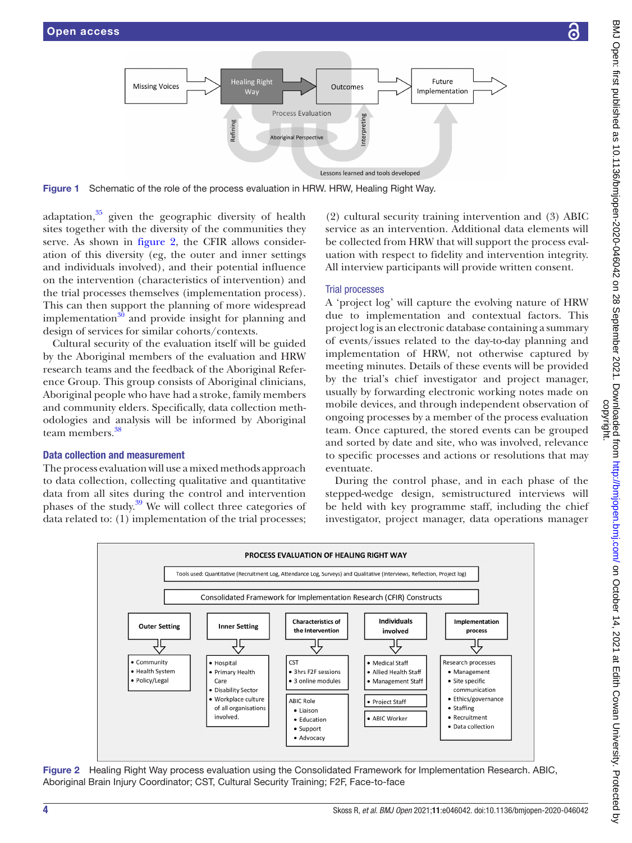

Figure 1 Schematic of the role of the process evaluation in HRW. HRW, Healing Right Way.

adaptation, $35$  given the geographic diversity of health sites together with the diversity of the communities they serve. As shown in [figure](#page-5-1) 2, the CFIR allows consideration of this diversity (eg, the outer and inner settings and individuals involved), and their potential influence on the intervention (characteristics of intervention) and the trial processes themselves (implementation process). This can then support the planning of more widespread implementation $30$  and provide insight for planning and design of services for similar cohorts/contexts.

Cultural security of the evaluation itself will be guided by the Aboriginal members of the evaluation and HRW research teams and the feedback of the Aboriginal Reference Group. This group consists of Aboriginal clinicians, Aboriginal people who have had a stroke, family members and community elders. Specifically, data collection methodologies and analysis will be informed by Aboriginal team members.[38](#page-12-17)

### Data collection and measurement

The process evaluation will use a mixed methods approach to data collection, collecting qualitative and quantitative data from all sites during the control and intervention phases of the study.<sup>[39](#page-12-18)</sup> We will collect three categories of data related to: (1) implementation of the trial processes;

<span id="page-5-0"></span>(2) cultural security training intervention and (3) ABIC service as an intervention. Additional data elements will be collected from HRW that will support the process evaluation with respect to fidelity and intervention integrity. All interview participants will provide written consent.

### Trial processes

A 'project log' will capture the evolving nature of HRW due to implementation and contextual factors. This project log is an electronic database containing a summary of events/issues related to the day-to-day planning and implementation of HRW, not otherwise captured by meeting minutes. Details of these events will be provided by the trial's chief investigator and project manager, usually by forwarding electronic working notes made on mobile devices, and through independent observation of ongoing processes by a member of the process evaluation team. Once captured, the stored events can be grouped and sorted by date and site, who was involved, relevance to specific processes and actions or resolutions that may eventuate.

During the control phase, and in each phase of the stepped-wedge design, semistructured interviews will be held with key programme staff, including the chief investigator, project manager, data operations manager



<span id="page-5-1"></span>Figure 2 Healing Right Way process evaluation using the Consolidated Framework for Implementation Research. ABIC, Aboriginal Brain Injury Coordinator; CST, Cultural Security Training; F2F, Face-to-face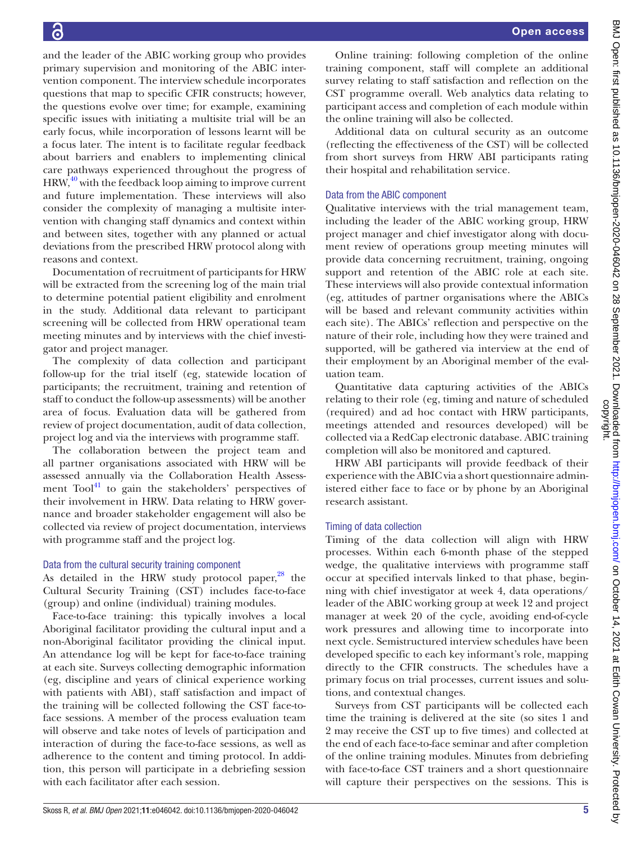and the leader of the ABIC working group who provides primary supervision and monitoring of the ABIC intervention component. The interview schedule incorporates questions that map to specific CFIR constructs; however, the questions evolve over time; for example, examining specific issues with initiating a multisite trial will be an early focus, while incorporation of lessons learnt will be a focus later. The intent is to facilitate regular feedback about barriers and enablers to implementing clinical care pathways experienced throughout the progress of  $HRW<sub>10</sub><sup>40</sup>$  with the feedback loop aiming to improve current and future implementation. These interviews will also consider the complexity of managing a multisite intervention with changing staff dynamics and context within and between sites, together with any planned or actual deviations from the prescribed HRW protocol along with reasons and context.

Documentation of recruitment of participants for HRW will be extracted from the screening log of the main trial to determine potential patient eligibility and enrolment in the study. Additional data relevant to participant screening will be collected from HRW operational team meeting minutes and by interviews with the chief investigator and project manager.

The complexity of data collection and participant follow-up for the trial itself (eg, statewide location of participants; the recruitment, training and retention of staff to conduct the follow-up assessments) will be another area of focus. Evaluation data will be gathered from review of project documentation, audit of data collection, project log and via the interviews with programme staff.

The collaboration between the project team and all partner organisations associated with HRW will be assessed annually via the Collaboration Health Assessment  $\text{Tool}^{41}$  to gain the stakeholders' perspectives of their involvement in HRW. Data relating to HRW governance and broader stakeholder engagement will also be collected via review of project documentation, interviews with programme staff and the project log.

# Data from the cultural security training component

As detailed in the HRW study protocol paper, $28$  the Cultural Security Training (CST) includes face-to-face (group) and online (individual) training modules.

Face-to-face training: this typically involves a local Aboriginal facilitator providing the cultural input and a non-Aboriginal facilitator providing the clinical input. An attendance log will be kept for face-to-face training at each site. Surveys collecting demographic information (eg, discipline and years of clinical experience working with patients with ABI), staff satisfaction and impact of the training will be collected following the CST face-toface sessions. A member of the process evaluation team will observe and take notes of levels of participation and interaction of during the face-to-face sessions, as well as adherence to the content and timing protocol. In addition, this person will participate in a debriefing session with each facilitator after each session.

Online training: following completion of the online training component, staff will complete an additional survey relating to staff satisfaction and reflection on the CST programme overall. Web analytics data relating to participant access and completion of each module within the online training will also be collected.

Additional data on cultural security as an outcome (reflecting the effectiveness of the CST) will be collected from short surveys from HRW ABI participants rating their hospital and rehabilitation service.

# Data from the ABIC component

Qualitative interviews with the trial management team, including the leader of the ABIC working group, HRW project manager and chief investigator along with document review of operations group meeting minutes will provide data concerning recruitment, training, ongoing support and retention of the ABIC role at each site. These interviews will also provide contextual information (eg, attitudes of partner organisations where the ABICs will be based and relevant community activities within each site). The ABICs' reflection and perspective on the nature of their role, including how they were trained and supported, will be gathered via interview at the end of their employment by an Aboriginal member of the evaluation team.

Quantitative data capturing activities of the ABICs relating to their role (eg, timing and nature of scheduled (required) and ad hoc contact with HRW participants, meetings attended and resources developed) will be collected via a RedCap electronic database. ABIC training completion will also be monitored and captured.

HRW ABI participants will provide feedback of their experience with the ABIC via a short questionnaire administered either face to face or by phone by an Aboriginal research assistant.

# Timing of data collection

Timing of the data collection will align with HRW processes. Within each 6-month phase of the stepped wedge, the qualitative interviews with programme staff occur at specified intervals linked to that phase, beginning with chief investigator at week 4, data operations/ leader of the ABIC working group at week 12 and project manager at week 20 of the cycle, avoiding end-of-cycle work pressures and allowing time to incorporate into next cycle. Semistructured interview schedules have been developed specific to each key informant's role, mapping directly to the CFIR constructs. The schedules have a primary focus on trial processes, current issues and solutions, and contextual changes.

Surveys from CST participants will be collected each time the training is delivered at the site (so sites 1 and 2 may receive the CST up to five times) and collected at the end of each face-to-face seminar and after completion of the online training modules. Minutes from debriefing with face-to-face CST trainers and a short questionnaire will capture their perspectives on the sessions. This is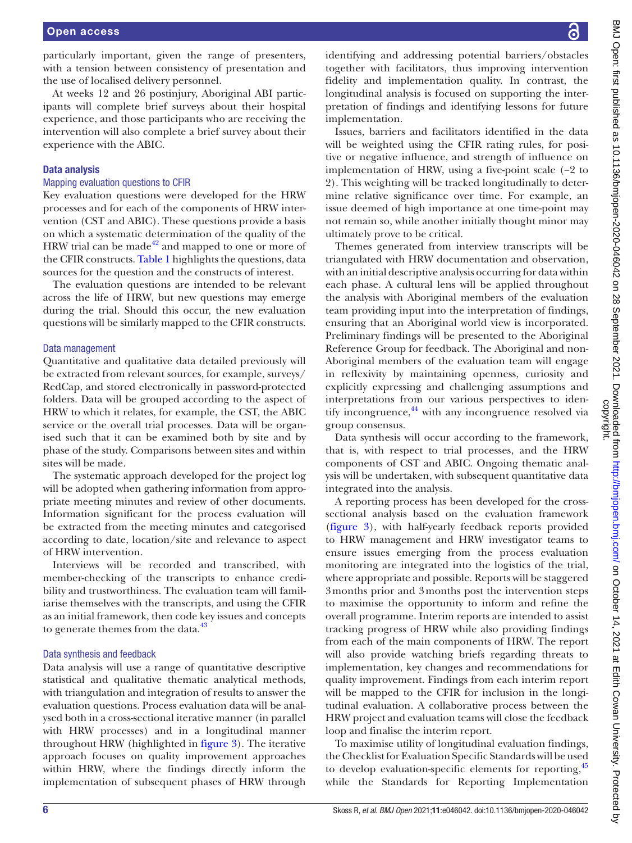particularly important, given the range of presenters, with a tension between consistency of presentation and the use of localised delivery personnel.

At weeks 12 and 26 postinjury, Aboriginal ABI participants will complete brief surveys about their hospital experience, and those participants who are receiving the intervention will also complete a brief survey about their experience with the ABIC.

### Data analysis

#### Mapping evaluation questions to CFIR

Key evaluation questions were developed for the HRW processes and for each of the components of HRW intervention (CST and ABIC). These questions provide a basis on which a systematic determination of the quality of the HRW trial can be made $42$  and mapped to one or more of the CFIR constructs. [Table](#page-8-0) 1 highlights the questions, data sources for the question and the constructs of interest.

The evaluation questions are intended to be relevant across the life of HRW, but new questions may emerge during the trial. Should this occur, the new evaluation questions will be similarly mapped to the CFIR constructs.

#### Data management

Quantitative and qualitative data detailed previously will be extracted from relevant sources, for example, surveys/ RedCap, and stored electronically in password-protected folders. Data will be grouped according to the aspect of HRW to which it relates, for example, the CST, the ABIC service or the overall trial processes. Data will be organised such that it can be examined both by site and by phase of the study. Comparisons between sites and within sites will be made.

The systematic approach developed for the project log will be adopted when gathering information from appropriate meeting minutes and review of other documents. Information significant for the process evaluation will be extracted from the meeting minutes and categorised according to date, location/site and relevance to aspect of HRW intervention.

Interviews will be recorded and transcribed, with member-checking of the transcripts to enhance credibility and trustworthiness. The evaluation team will familiarise themselves with the transcripts, and using the CFIR as an initial framework, then code key issues and concepts to generate themes from the data.<sup>[43](#page-12-22)</sup>

#### Data synthesis and feedback

Data analysis will use a range of quantitative descriptive statistical and qualitative thematic analytical methods, with triangulation and integration of results to answer the evaluation questions. Process evaluation data will be analysed both in a cross-sectional iterative manner (in parallel with HRW processes) and in a longitudinal manner throughout HRW (highlighted in [figure](#page-10-0) 3). The iterative approach focuses on quality improvement approaches within HRW, where the findings directly inform the implementation of subsequent phases of HRW through

identifying and addressing potential barriers/obstacles together with facilitators, thus improving intervention fidelity and implementation quality. In contrast, the longitudinal analysis is focused on supporting the interpretation of findings and identifying lessons for future implementation.

Issues, barriers and facilitators identified in the data will be weighted using the CFIR rating rules, for positive or negative influence, and strength of influence on implementation of HRW, using a five-point scale (−2 to 2). This weighting will be tracked longitudinally to determine relative significance over time. For example, an issue deemed of high importance at one time-point may not remain so, while another initially thought minor may ultimately prove to be critical.

Themes generated from interview transcripts will be triangulated with HRW documentation and observation, with an initial descriptive analysis occurring for data within each phase. A cultural lens will be applied throughout the analysis with Aboriginal members of the evaluation team providing input into the interpretation of findings, ensuring that an Aboriginal world view is incorporated. Preliminary findings will be presented to the Aboriginal Reference Group for feedback. The Aboriginal and non-Aboriginal members of the evaluation team will engage in reflexivity by maintaining openness, curiosity and explicitly expressing and challenging assumptions and interpretations from our various perspectives to identify incongruence,<sup>44</sup> with any incongruence resolved via group consensus.

Data synthesis will occur according to the framework, that is, with respect to trial processes, and the HRW components of CST and ABIC. Ongoing thematic analysis will be undertaken, with subsequent quantitative data integrated into the analysis.

A reporting process has been developed for the crosssectional analysis based on the evaluation framework [\(figure](#page-10-0) 3), with half-yearly feedback reports provided to HRW management and HRW investigator teams to ensure issues emerging from the process evaluation monitoring are integrated into the logistics of the trial, where appropriate and possible. Reports will be staggered 3months prior and 3months post the intervention steps to maximise the opportunity to inform and refine the overall programme. Interim reports are intended to assist tracking progress of HRW while also providing findings from each of the main components of HRW. The report will also provide watching briefs regarding threats to implementation, key changes and recommendations for quality improvement. Findings from each interim report will be mapped to the CFIR for inclusion in the longitudinal evaluation. A collaborative process between the HRW project and evaluation teams will close the feedback loop and finalise the interim report.

To maximise utility of longitudinal evaluation findings, the Checklist for Evaluation Specific Standards will be used to develop evaluation-specific elements for reporting, [45](#page-12-24) while the Standards for Reporting Implementation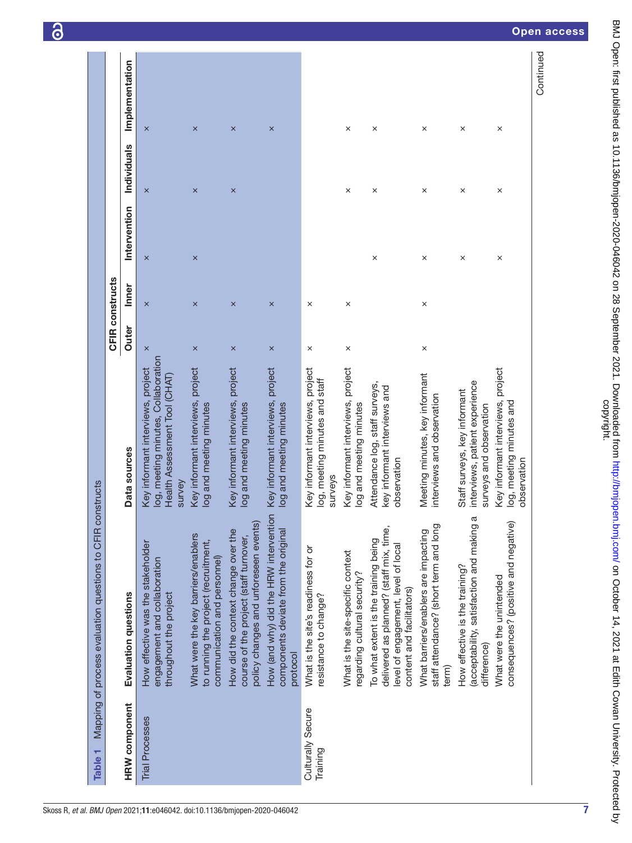| Table <sub>1</sub>            | Mapping of process evaluation questions to CFIR constructs                                                                                          |                                                                                                                     |          | <b>CFIR constructs</b> |              |                    |                |
|-------------------------------|-----------------------------------------------------------------------------------------------------------------------------------------------------|---------------------------------------------------------------------------------------------------------------------|----------|------------------------|--------------|--------------------|----------------|
| <b>HRW</b> component          | Evaluation questions                                                                                                                                | Data sources                                                                                                        | Outer    | Inner                  | Intervention | <b>Individuals</b> | Implementation |
| <b>Trial Processes</b>        | How effective was the stakeholder<br>engagement and collaboration<br>throughout the project                                                         | log, meeting minutes, Collaboration<br>Key informant interviews, project<br>Health Assessment Tool (CHAT)<br>survey | $\times$ | $\times$               | $\times$     | $\times$           | $\times$       |
|                               | What were the key barriers/enablers<br>to running the project (recruitment,<br>communication and personnel)                                         | Key informant interviews, project<br>log and meeting minutes                                                        | $\times$ | $\times$               | $\times$     | $\times$           | $\times$       |
|                               | policy changes and unforeseen events)<br>How did the context change over the<br>course of the project (staff turnover,                              | Key informant interviews, project<br>log and meeting minutes                                                        | $\times$ | $\times$               |              | $\times$           | $\times$       |
|                               | How (and why) did the HRW intervention<br>components deviate from the original<br>protocol                                                          | Key informant interviews, project<br>log and meeting minutes                                                        | $\times$ | $\times$               |              |                    | $\times$       |
| Culturally Secure<br>Training | What is the site's readiness for or<br>resistance to change?                                                                                        | Key informant interviews, project<br>log, meeting minutes and staff<br>surveys                                      | $\times$ | $\times$               |              |                    |                |
|                               | What is the site-specific context<br>regarding cultural security?                                                                                   | Key informant interviews, project<br>log and meeting minutes                                                        | ×        | ×                      |              | ×                  | ×              |
|                               | delivered as planned? (staff mix, time,<br>To what extent is the training being<br>level of engagement, level of local<br>content and facilitators) | Attendance log, staff surveys,<br>key informant interviews and<br>observation                                       |          |                        | $\times$     | ×                  | ×              |
|                               | staff attendance? (short term and long<br>What barriers/enablers are impacting<br>term)                                                             | Meeting minutes, key informant<br>interviews and observation                                                        | $\times$ | $\times$               | $\times$     | $\times$           | $\times$       |
|                               | (acceptability, satisfaction and making a<br>How effective is the training?<br>difference)                                                          | interviews, patient experience<br>Staff surveys, key informant<br>surveys and observation                           |          |                        | $\times$     | $\times$           | $\times$       |
|                               | consequences? (positive and negative)<br>What were the unintended                                                                                   | Key informant interviews, project<br>log, meeting minutes and<br>observation                                        |          |                        | $\times$     | $\times$           | $\times$       |
|                               |                                                                                                                                                     |                                                                                                                     |          |                        |              |                    | Continued      |

<span id="page-8-0"></span>7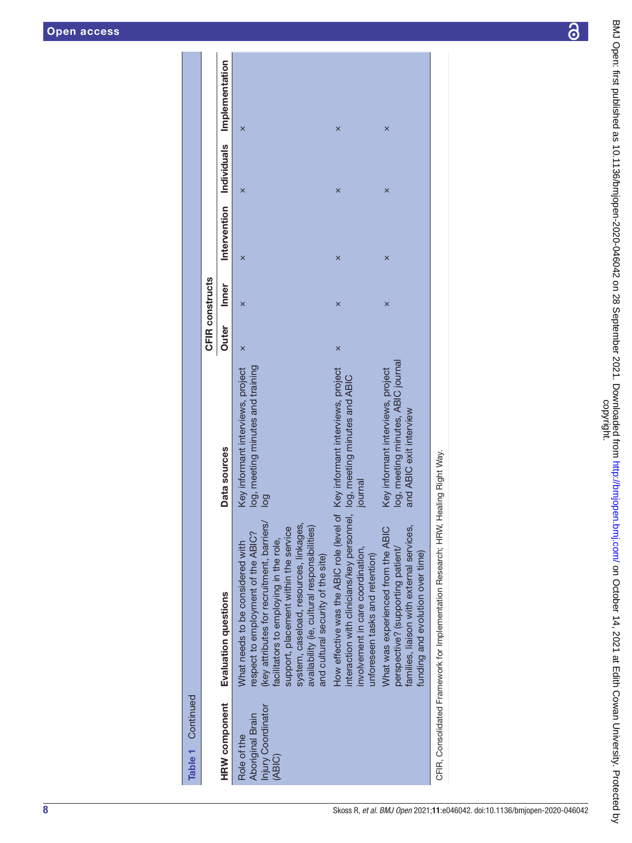| Table 1 Continued                                               |                                                                                                                                                                                                                                                                                                                                         |                                                                                                    |                        |       |   |   |                                         |
|-----------------------------------------------------------------|-----------------------------------------------------------------------------------------------------------------------------------------------------------------------------------------------------------------------------------------------------------------------------------------------------------------------------------------|----------------------------------------------------------------------------------------------------|------------------------|-------|---|---|-----------------------------------------|
|                                                                 |                                                                                                                                                                                                                                                                                                                                         |                                                                                                    | <b>CFIR constructs</b> |       |   |   |                                         |
| <b>HRW</b> component                                            | Evaluation questions                                                                                                                                                                                                                                                                                                                    | Data sources                                                                                       | Outer                  | Inner |   |   | Intervention Individuals Implementation |
| Injury Coordinator<br>Aboriginal Brain<br>Role of the<br>(ABIC) | (key attributes for recruitment, barriers)<br>system, caseload, resources, linkages,<br>availability (ie, cultural responsibilities)<br>support, placement within the service<br>respect to employment of the ABIC?<br>facilitators to employing in the role,<br>What needs to be considered with<br>and cultural security of the site) | log, meeting minutes and training<br>Key informant interviews, project<br>$\overline{a}$           | $\times$               | ×     | × | × | ×                                       |
|                                                                 | How effective was the ABIC role (level of Key informant interviews, project<br>interaction with clinicians/key personnel, log, meeting minutes and ABIC<br>involvement in care coordination,<br>unforeseen tasks and retention)                                                                                                         | journal                                                                                            | $\times$               | ×     | × | × | ×                                       |
|                                                                 | families, liaison with external services,<br>What was experienced from the ABIC<br>perspective? (supporting patient/<br>funding and evolution over time)                                                                                                                                                                                | log, meeting minutes, ABIC journal<br>Key informant interviews, project<br>and ABIC exit interview |                        | ×     | × | × | ×                                       |
|                                                                 | CFIR, Consolidated Framework for Implementation Research; HRW, Healing Right Way.                                                                                                                                                                                                                                                       |                                                                                                    |                        |       |   |   |                                         |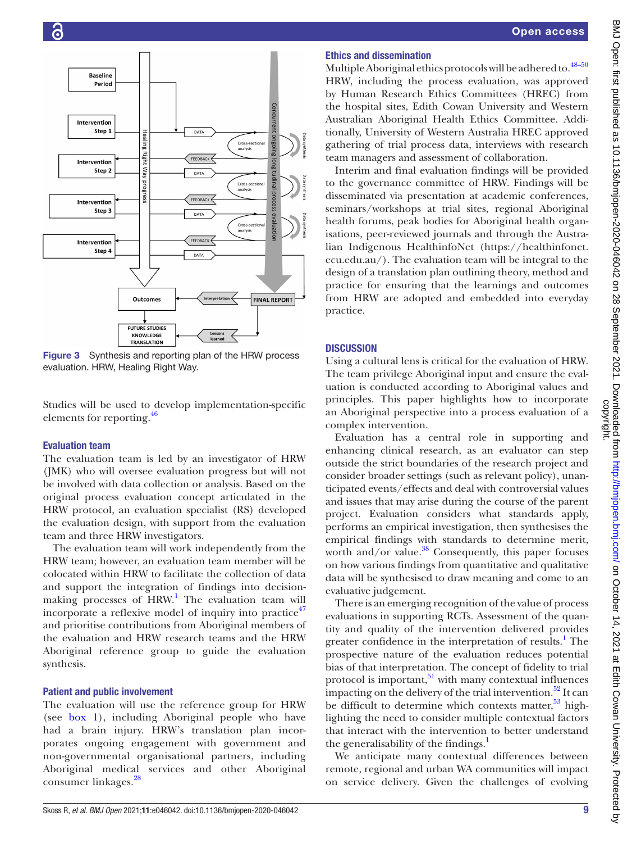

<span id="page-10-0"></span>Figure 3 Synthesis and reporting plan of the HRW process evaluation. HRW, Healing Right Way.

Studies will be used to develop implementation-specific elements for reporting.<sup>[46](#page-12-25)</sup>

### Evaluation team

The evaluation team is led by an investigator of HRW (JMK) who will oversee evaluation progress but will not be involved with data collection or analysis. Based on the original process evaluation concept articulated in the HRW protocol, an evaluation specialist (RS) developed the evaluation design, with support from the evaluation team and three HRW investigators.

The evaluation team will work independently from the HRW team; however, an evaluation team member will be colocated within HRW to facilitate the collection of data and support the integration of findings into decisionmaking processes of  $HRW$ .<sup>[1](#page-11-0)</sup> The evaluation team will incorporate a reflexive model of inquiry into practice $47$ and prioritise contributions from Aboriginal members of the evaluation and HRW research teams and the HRW Aboriginal reference group to guide the evaluation synthesis.

# Patient and public involvement

The evaluation will use the reference group for HRW (see [box](#page-4-0) 1), including Aboriginal people who have had a brain injury. HRW's translation plan incorporates ongoing engagement with government and non-governmental organisational partners, including Aboriginal medical services and other Aboriginal consumer linkages.[28](#page-12-7)

# Ethics and dissemination

Multiple Aboriginal ethics protocols will be adhered to.<sup>48-50</sup> HRW, including the process evaluation, was approved by Human Research Ethics Committees (HREC) from the hospital sites, Edith Cowan University and Western Australian Aboriginal Health Ethics Committee. Additionally, University of Western Australia HREC approved gathering of trial process data, interviews with research team managers and assessment of collaboration.

Interim and final evaluation findings will be provided to the governance committee of HRW. Findings will be disseminated via presentation at academic conferences, seminars/workshops at trial sites, regional Aboriginal health forums, peak bodies for Aboriginal health organisations, peer-reviewed journals and through the Australian Indigenous HealthinfoNet ([https://healthinfonet.](https://healthinfonet.ecu.edu.au/) [ecu.edu.au/](https://healthinfonet.ecu.edu.au/)). The evaluation team will be integral to the design of a translation plan outlining theory, method and practice for ensuring that the learnings and outcomes from HRW are adopted and embedded into everyday practice.

### **DISCUSSION**

Using a cultural lens is critical for the evaluation of HRW. The team privilege Aboriginal input and ensure the evaluation is conducted according to Aboriginal values and principles. This paper highlights how to incorporate an Aboriginal perspective into a process evaluation of a complex intervention.

Evaluation has a central role in supporting and enhancing clinical research, as an evaluator can step outside the strict boundaries of the research project and consider broader settings (such as relevant policy), unanticipated events/effects and deal with controversial values and issues that may arise during the course of the parent project. Evaluation considers what standards apply, performs an empirical investigation, then synthesises the empirical findings with standards to determine merit, worth and/or value.<sup>[38](#page-12-17)</sup> Consequently, this paper focuses on how various findings from quantitative and qualitative data will be synthesised to draw meaning and come to an evaluative judgement.

There is an emerging recognition of the value of process evaluations in supporting RCTs. Assessment of the quantity and quality of the intervention delivered provides greater confidence in the interpretation of results.<sup>[1](#page-11-0)</sup> The prospective nature of the evaluation reduces potential bias of that interpretation. The concept of fidelity to trial protocol is important, $51$  with many contextual influences impacting on the delivery of the trial intervention.<sup>52</sup> It can be difficult to determine which contexts matter,  $53$  highlighting the need to consider multiple contextual factors that interact with the intervention to better understand the generalisability of the findings.<sup>[1](#page-11-0)</sup>

We anticipate many contextual differences between remote, regional and urban WA communities will impact on service delivery. Given the challenges of evolving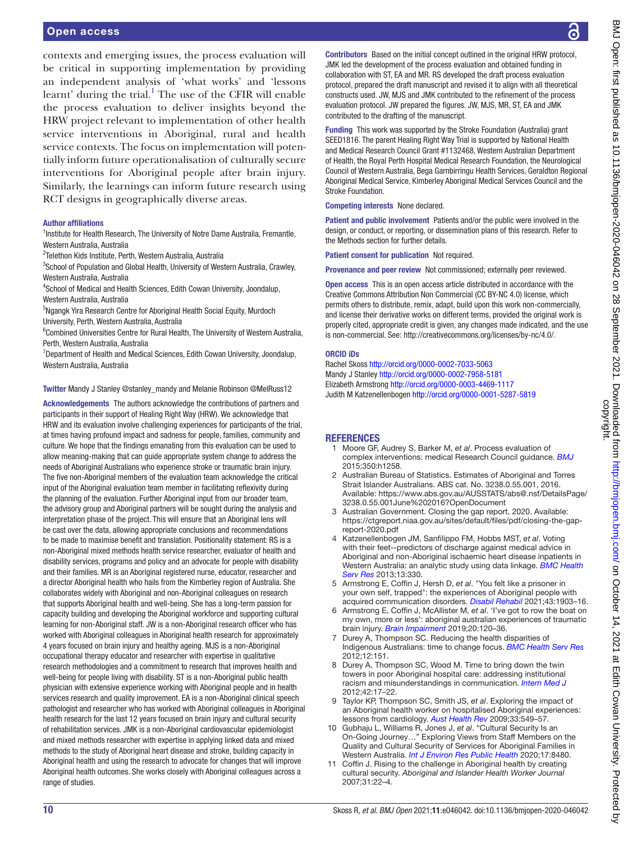contexts and emerging issues, the process evaluation will be critical in supporting implementation by providing an independent analysis of 'what works' and 'lessons learnt' during the trial.<sup>[1](#page-11-0)</sup> The use of the CFIR will enable the process evaluation to deliver insights beyond the HRW project relevant to implementation of other health service interventions in Aboriginal, rural and health service contexts. The focus on implementation will potentially inform future operationalisation of culturally secure interventions for Aboriginal people after brain injury. Similarly, the learnings can inform future research using RCT designs in geographically diverse areas.

#### Author affiliations

<sup>1</sup>Institute for Health Research, The University of Notre Dame Australia, Fremantle, Western Australia, Australia

2 Telethon Kids Institute, Perth, Western Australia, Australia

<sup>3</sup>School of Population and Global Health, University of Western Australia, Crawley, Western Australia, Australia

4 School of Medical and Health Sciences, Edith Cowan University, Joondalup, Western Australia, Australia

<sup>5</sup>Ngangk Yira Research Centre for Aboriginal Health Social Equity, Murdoch University, Perth, Western Australia, Australia

<sup>6</sup>Combined Universities Centre for Rural Health, The University of Western Australia, Perth, Western Australia, Australia

<sup>7</sup>Department of Health and Medical Sciences, Edith Cowan University, Joondalup, Western Australia, Australia

#### Twitter Mandy J Stanley [@stanley\\_mandy](https://twitter.com/stanley_mandy) and Melanie Robinson [@MelRuss12](https://twitter.com/MelRuss12)

Acknowledgements The authors acknowledge the contributions of partners and participants in their support of Healing Right Way (HRW). We acknowledge that HRW and its evaluation involve challenging experiences for participants of the trial, at times having profound impact and sadness for people, families, community and culture. We hope that the findings emanating from this evaluation can be used to allow meaning-making that can guide appropriate system change to address the needs of Aboriginal Australians who experience stroke or traumatic brain injury. The five non-Aboriginal members of the evaluation team acknowledge the critical input of the Aboriginal evaluation team member in facilitating reflexivity during the planning of the evaluation. Further Aboriginal input from our broader team, the advisory group and Aboriginal partners will be sought during the analysis and interpretation phase of the project. This will ensure that an Aboriginal lens will be cast over the data, allowing appropriate conclusions and recommendations to be made to maximise benefit and translation. Positionality statement: RS is a non-Aboriginal mixed methods health service researcher, evaluator of health and disability services, programs and policy and an advocate for people with disability and their families. MR is an Aboriginal registered nurse, educator, researcher and a director Aboriginal health who hails from the Kimberley region of Australia. She collaborates widely with Aboriginal and non-Aboriginal colleagues on research that supports Aboriginal health and well-being. She has a long-term passion for capacity building and developing the Aboriginal workforce and supporting cultural learning for non-Aboriginal staff. JW is a non-Aboriginal research officer who has worked with Aboriginal colleagues in Aboriginal health research for approximately 4 years focused on brain injury and healthy ageing. MJS is a non-Aboriginal occupational therapy educator and researcher with expertise in qualitative research methodologies and a commitment to research that improves health and well-being for people living with disability. ST is a non-Aboriginal public health physician with extensive experience working with Aboriginal people and in health services research and quality improvement. EA is a non-Aboriginal clinical speech pathologist and researcher who has worked with Aboriginal colleagues in Aboriginal health research for the last 12 years focused on brain injury and cultural security of rehabilitation services. JMK is a non-Aboriginal cardiovascular epidemiologist and mixed methods researcher with expertise in applying linked data and mixed methods to the study of Aboriginal heart disease and stroke, building capacity in Aboriginal health and using the research to advocate for changes that will improve Aboriginal health outcomes. She works closely with Aboriginal colleagues across a range of studies.

Contributors Based on the initial concept outlined in the original HRW protocol, JMK led the development of the process evaluation and obtained funding in collaboration with ST, EA and MR. RS developed the draft process evaluation protocol, prepared the draft manuscript and revised it to align with all theoretical constructs used. JW, MJS and JMK contributed to the refinement of the process evaluation protocol. JW prepared the figures. JW, MJS, MR, ST, EA and JMK contributed to the drafting of the manuscript.

Funding This work was supported by the Stroke Foundation (Australia) grant SEED1816. The parent Healing Right Way Trial is supported by National Health and Medical Research Council Grant #1132468, Western Australian Department of Health, the Royal Perth Hospital Medical Research Foundation, the Neurological Council of Western Australia, Bega Garnbirringu Health Services, Geraldton Regional Aboriginal Medical Service, Kimberley Aboriginal Medical Services Council and the Stroke Foundation.

#### Competing interests None declared.

Patient and public involvement Patients and/or the public were involved in the design, or conduct, or reporting, or dissemination plans of this research. Refer to the Methods section for further details.

Patient consent for publication Not required.

Provenance and peer review Not commissioned; externally peer reviewed.

Open access This is an open access article distributed in accordance with the Creative Commons Attribution Non Commercial (CC BY-NC 4.0) license, which permits others to distribute, remix, adapt, build upon this work non-commercially, and license their derivative works on different terms, provided the original work is properly cited, appropriate credit is given, any changes made indicated, and the use is non-commercial. See: [http://creativecommons.org/licenses/by-nc/4.0/.](http://creativecommons.org/licenses/by-nc/4.0/)

#### ORCID iDs

Rachel Skoss<http://orcid.org/0000-0002-7033-5063> Mandy J Stanley <http://orcid.org/0000-0002-7958-5181> Elizabeth Armstrong<http://orcid.org/0000-0003-4469-1117> Judith M Katzenellenbogen <http://orcid.org/0000-0001-5287-5819>

#### **REFERENCES**

- <span id="page-11-0"></span>1 Moore GF, Audrey S, Barker M, *et al*. Process evaluation of complex interventions: medical Research Council guidance. *[BMJ](http://dx.doi.org/10.1136/bmj.h1258)* 2015;350:h1258.
- <span id="page-11-1"></span>2 Australian Bureau of Statistics. Estimates of Aboriginal and Torres Strait Islander Australians. ABS cat. No. 3238.0.55.001, 2016. Available: [https://www.abs.gov.au/AUSSTATS/abs@.nsf/DetailsPage/](https://www.abs.gov.au/AUSSTATS/abs@.nsf/DetailsPage/3238.0.55.001June%202016?OpenDocument) [3238.0.55.001June%202016?OpenDocument](https://www.abs.gov.au/AUSSTATS/abs@.nsf/DetailsPage/3238.0.55.001June%202016?OpenDocument)
- <span id="page-11-2"></span>Australian Government. Closing the gap report, 2020. Available: [https://ctgreport.niaa.gov.au/sites/default/files/pdf/closing-the-gap](https://ctgreport.niaa.gov.au/sites/default/files/pdf/closing-the-gap-report-2020.pdf)[report-2020.pdf](https://ctgreport.niaa.gov.au/sites/default/files/pdf/closing-the-gap-report-2020.pdf)
- <span id="page-11-3"></span>4 Katzenellenbogen JM, Sanfilippo FM, Hobbs MST, *et al*. Voting with their feet--predictors of discharge against medical advice in Aboriginal and non-Aboriginal ischaemic heart disease inpatients in Western Australia: an analytic study using data linkage. *[BMC Health](http://dx.doi.org/10.1186/1472-6963-13-330)  [Serv Res](http://dx.doi.org/10.1186/1472-6963-13-330)* 2013;13:330.
- <span id="page-11-7"></span>5 Armstrong E, Coffin J, Hersh D, *et al*. "You felt like a prisoner in your own self, trapped": the experiences of Aboriginal people with acquired communication disorders. *[Disabil Rehabil](http://dx.doi.org/10.1080/09638288.2019.1686073)* 2021;43:1903–16.
- 6 Armstrong E, Coffin J, McAllister M, *et al*. 'I've got to row the boat on my own, more or less': aboriginal australian experiences of traumatic brain injury. *[Brain Impairment](http://dx.doi.org/10.1017/BrImp.2019.19)* 2019;20:120–36.
- <span id="page-11-4"></span>7 Durey A, Thompson SC. Reducing the health disparities of Indigenous Australians: time to change focus. *[BMC Health Serv Res](http://dx.doi.org/10.1186/1472-6963-12-151)* 2012;12:151.
- 8 Durey A, Thompson SC, Wood M. Time to bring down the twin towers in poor Aboriginal hospital care: addressing institutional racism and misunderstandings in communication. *[Intern Med J](http://dx.doi.org/10.1111/j.1445-5994.2011.02628.x)* 2012;42:17–22.
- 9 Taylor KP, Thompson SC, Smith JS, *et al*. Exploring the impact of an Aboriginal health worker on hospitalised Aboriginal experiences: lessons from cardiology. *[Aust Health Rev](http://dx.doi.org/10.1071/AH090549)* 2009;33:549–57.
- <span id="page-11-5"></span>10 Gubhaju L, Williams R, Jones J, *et al*. "Cultural Security Is an On-Going Journey…" Exploring Views from Staff Members on the Quality and Cultural Security of Services for Aboriginal Families in Western Australia. *[Int J Environ Res Public Health](http://dx.doi.org/10.3390/ijerph17228480)* 2020;17:8480.
- <span id="page-11-6"></span>11 Coffin J. Rising to the challenge in Aboriginal health by creating cultural security. *Aboriginal and Islander Health Worker Journal* 2007;31:22–4.